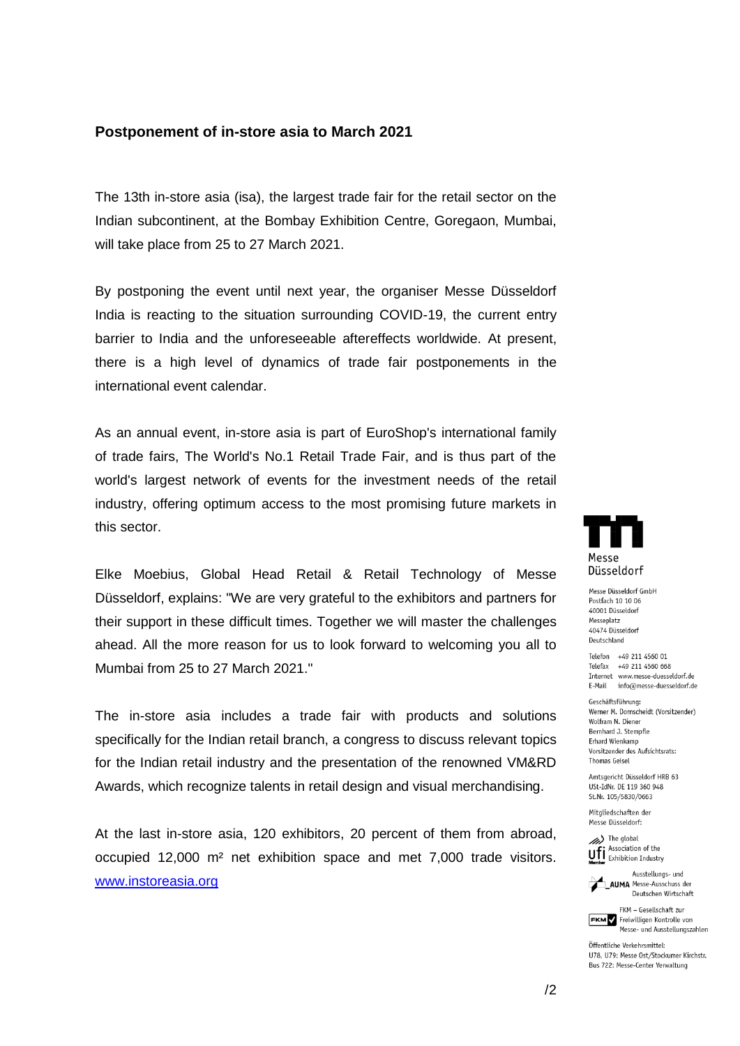## **Postponement of in-store asia to March 2021**

The 13th in-store asia (isa), the largest trade fair for the retail sector on the Indian subcontinent, at the Bombay Exhibition Centre, Goregaon, Mumbai, will take place from 25 to 27 March 2021.

By postponing the event until next year, the organiser Messe Düsseldorf India is reacting to the situation surrounding COVID-19, the current entry barrier to India and the unforeseeable aftereffects worldwide. At present, there is a high level of dynamics of trade fair postponements in the international event calendar.

As an annual event, in-store asia is part of EuroShop's international family of trade fairs, The World's No.1 Retail Trade Fair, and is thus part of the world's largest network of events for the investment needs of the retail industry, offering optimum access to the most promising future markets in this sector.

Elke Moebius, Global Head Retail & Retail Technology of Messe Düsseldorf, explains: "We are very grateful to the exhibitors and partners for their support in these difficult times. Together we will master the challenges ahead. All the more reason for us to look forward to welcoming you all to Mumbai from 25 to 27 March 2021."

The in-store asia includes a trade fair with products and solutions specifically for the Indian retail branch, a congress to discuss relevant topics for the Indian retail industry and the presentation of the renowned VM&RD Awards, which recognize talents in retail design and visual merchandising.

At the last in-store asia, 120 exhibitors, 20 percent of them from abroad, occupied 12,000 m² net exhibition space and met 7,000 trade visitors. [www.instoreasia.org](http://www.instoreasia.org/)



Messe Düsseldorf GmbH Postfach 10 10 06 40001 Düsseldorf Messeplatz 60676 Discoldorf Deutschland

Telefon +49 211 4560 01 Telefax +49 211 4560 668 Internet www.messe-duesseldorf.de E-Mail info@messe-duesseldorf.de

Geschäftsführung: Werner M. Dornscheidt (Vorsitzender) Wolfram N. Diener Bernhard J. Stempfle **Frhard Wienkamn** Vorsitzender des Aufsichtsrats: **Thomas Geisel** 

Amtsgericht Düsseldorf HRB 63 USt-IdNr. DE 119 360 948 St.Nr. 105/5830/0663

Mitaliedschaften der Messe Düsseldorf:



Ausstellungs- und AUMA Messe-Ausschuss der Deutschen Wirtschaft

FKM - Gesellschaft zur FKM Freiwilligen Kontrolle von Messe- und Ausstellungszahlen

Öffentliche Verkehrsmittel: U78, U79: Messe Ost/Stockumer Kirchstr. Bus 722: Messe-Center Verwaltung